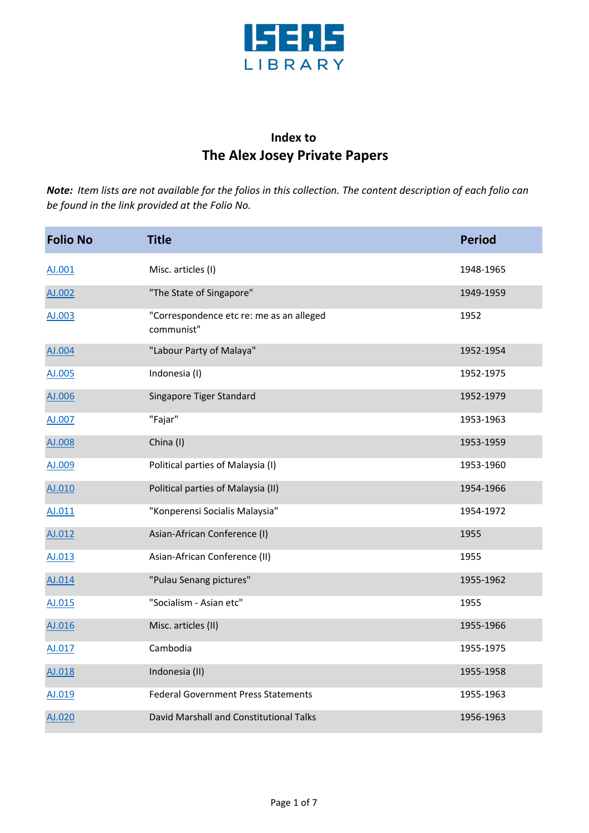

## **Index to The Alex Josey Private Papers**

| <b>Folio No</b> | <b>Title</b>                                           | <b>Period</b> |
|-----------------|--------------------------------------------------------|---------------|
| AJ.001          | Misc. articles (I)                                     | 1948-1965     |
| AJ.002          | "The State of Singapore"                               | 1949-1959     |
| AJ.003          | "Correspondence etc re: me as an alleged<br>communist" | 1952          |
| AJ.004          | "Labour Party of Malaya"                               | 1952-1954     |
| AJ.005          | Indonesia (I)                                          | 1952-1975     |
| AJ.006          | Singapore Tiger Standard                               | 1952-1979     |
| AJ.007          | "Fajar"                                                | 1953-1963     |
| AJ.008          | China (I)                                              | 1953-1959     |
| AJ.009          | Political parties of Malaysia (I)                      | 1953-1960     |
| AJ.010          | Political parties of Malaysia (II)                     | 1954-1966     |
| AJ.011          | "Konperensi Socialis Malaysia"                         | 1954-1972     |
| AJ.012          | Asian-African Conference (I)                           | 1955          |
| AJ.013          | Asian-African Conference (II)                          | 1955          |
| AJ.014          | "Pulau Senang pictures"                                | 1955-1962     |
| AJ.015          | "Socialism - Asian etc"                                | 1955          |
| AJ.016          | Misc. articles (II)                                    | 1955-1966     |
| AJ.017          | Cambodia                                               | 1955-1975     |
| AJ.018          | Indonesia (II)                                         | 1955-1958     |
| AJ.019          | <b>Federal Government Press Statements</b>             | 1955-1963     |
| AJ.020          | David Marshall and Constitutional Talks                | 1956-1963     |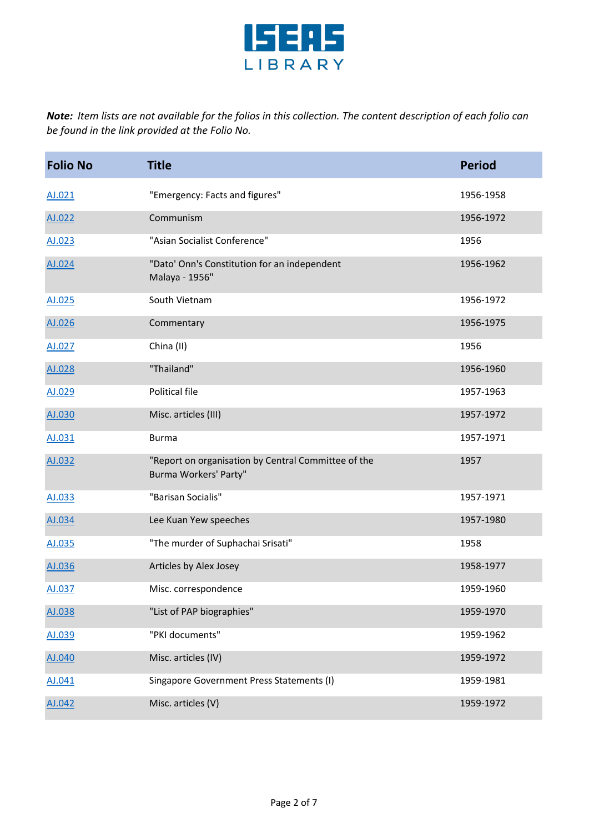

| <b>Folio No</b> | <b>Title</b>                                                                 | <b>Period</b> |
|-----------------|------------------------------------------------------------------------------|---------------|
| AJ.021          | "Emergency: Facts and figures"                                               | 1956-1958     |
| AJ.022          | Communism                                                                    | 1956-1972     |
| AJ.023          | "Asian Socialist Conference"                                                 | 1956          |
| AJ.024          | "Dato' Onn's Constitution for an independent<br>Malaya - 1956"               | 1956-1962     |
| AJ.025          | South Vietnam                                                                | 1956-1972     |
| AJ.026          | Commentary                                                                   | 1956-1975     |
| AJ.027          | China (II)                                                                   | 1956          |
| AJ.028          | "Thailand"                                                                   | 1956-1960     |
| AJ.029          | Political file                                                               | 1957-1963     |
| AJ.030          | Misc. articles (III)                                                         | 1957-1972     |
| AJ.031          | <b>Burma</b>                                                                 | 1957-1971     |
| AJ.032          | "Report on organisation by Central Committee of the<br>Burma Workers' Party" | 1957          |
| AJ.033          | "Barisan Socialis"                                                           | 1957-1971     |
| AJ.034          | Lee Kuan Yew speeches                                                        | 1957-1980     |
| AJ.035          | "The murder of Suphachai Srisati"                                            | 1958          |
| AJ.036          | Articles by Alex Josey                                                       | 1958-1977     |
| AJ.037          | Misc. correspondence                                                         | 1959-1960     |
| AJ.038          | "List of PAP biographies"                                                    | 1959-1970     |
| AJ.039          | "PKI documents"                                                              | 1959-1962     |
| AJ.040          | Misc. articles (IV)                                                          | 1959-1972     |
| AJ.041          | Singapore Government Press Statements (I)                                    | 1959-1981     |
| AJ.042          | Misc. articles (V)                                                           | 1959-1972     |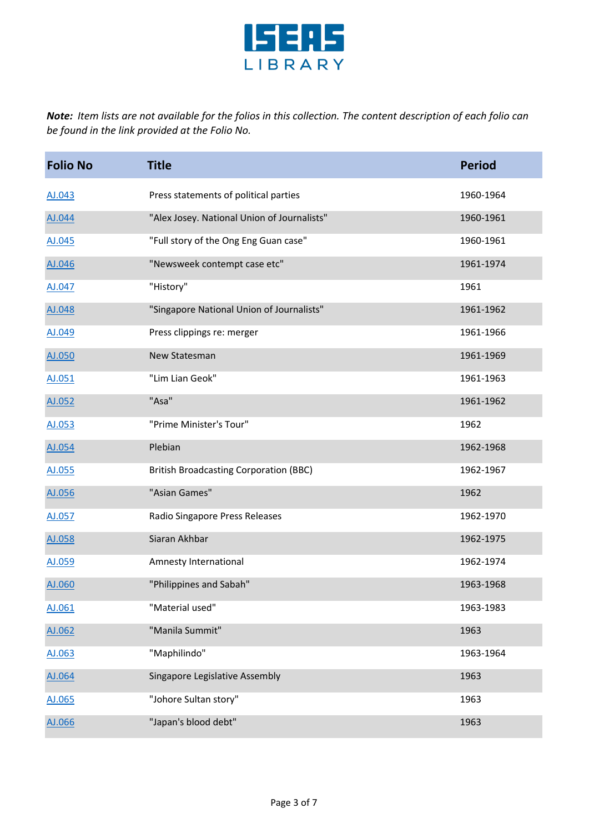

| <b>Folio No</b> | <b>Title</b>                                  | <b>Period</b> |
|-----------------|-----------------------------------------------|---------------|
| AJ.043          | Press statements of political parties         | 1960-1964     |
| AJ.044          | "Alex Josey. National Union of Journalists"   | 1960-1961     |
| AJ.045          | "Full story of the Ong Eng Guan case"         | 1960-1961     |
| AJ.046          | "Newsweek contempt case etc"                  | 1961-1974     |
| AJ.047          | "History"                                     | 1961          |
| AJ.048          | "Singapore National Union of Journalists"     | 1961-1962     |
| AJ.049          | Press clippings re: merger                    | 1961-1966     |
| AJ.050          | New Statesman                                 | 1961-1969     |
| AJ.051          | "Lim Lian Geok"                               | 1961-1963     |
| AJ.052          | "Asa"                                         | 1961-1962     |
| AJ.053          | "Prime Minister's Tour"                       | 1962          |
| AJ.054          | Plebian                                       | 1962-1968     |
| AJ.055          | <b>British Broadcasting Corporation (BBC)</b> | 1962-1967     |
| AJ.056          | "Asian Games"                                 | 1962          |
| AJ.057          | Radio Singapore Press Releases                | 1962-1970     |
| AJ.058          | Siaran Akhbar                                 | 1962-1975     |
| AJ.059          | Amnesty International                         | 1962-1974     |
| AJ.060          | "Philippines and Sabah"                       | 1963-1968     |
| AJ.061          | "Material used"                               | 1963-1983     |
| AJ.062          | "Manila Summit"                               | 1963          |
| AJ.063          | "Maphilindo"                                  | 1963-1964     |
| AJ.064          | Singapore Legislative Assembly                | 1963          |
| AJ.065          | "Johore Sultan story"                         | 1963          |
| AJ.066          | "Japan's blood debt"                          | 1963          |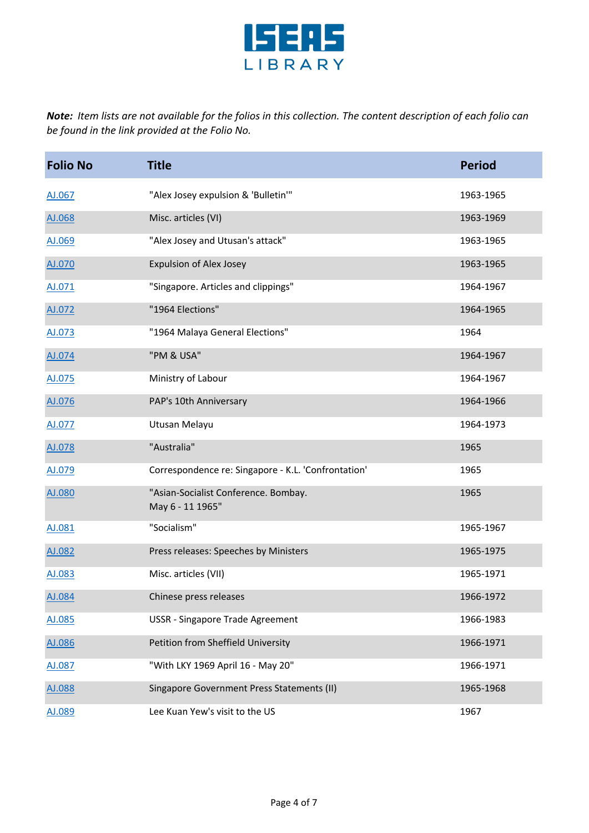

| <b>Folio No</b> | <b>Title</b>                                             | <b>Period</b> |
|-----------------|----------------------------------------------------------|---------------|
| AJ.067          | "Alex Josey expulsion & 'Bulletin'"                      | 1963-1965     |
| AJ.068          | Misc. articles (VI)                                      | 1963-1969     |
| AJ.069          | "Alex Josey and Utusan's attack"                         | 1963-1965     |
| AJ.070          | <b>Expulsion of Alex Josey</b>                           | 1963-1965     |
| AJ.071          | "Singapore. Articles and clippings"                      | 1964-1967     |
| AJ.072          | "1964 Elections"                                         | 1964-1965     |
| AJ.073          | "1964 Malaya General Elections"                          | 1964          |
| AJ.074          | "PM & USA"                                               | 1964-1967     |
| AJ.075          | Ministry of Labour                                       | 1964-1967     |
| AJ.076          | PAP's 10th Anniversary                                   | 1964-1966     |
| AJ.077          | Utusan Melayu                                            | 1964-1973     |
| AJ.078          | "Australia"                                              | 1965          |
| AJ.079          | Correspondence re: Singapore - K.L. 'Confrontation'      | 1965          |
| AJ.080          | "Asian-Socialist Conference. Bombay.<br>May 6 - 11 1965" | 1965          |
| AJ.081          | "Socialism"                                              | 1965-1967     |
| AJ.082          | Press releases: Speeches by Ministers                    | 1965-1975     |
| AJ.083          | Misc. articles (VII)                                     | 1965-1971     |
| AJ.084          | Chinese press releases                                   | 1966-1972     |
| AJ.085          | USSR - Singapore Trade Agreement                         | 1966-1983     |
| AJ.086          | Petition from Sheffield University                       | 1966-1971     |
| AJ.087          | "With LKY 1969 April 16 - May 20"                        | 1966-1971     |
| AJ.088          | Singapore Government Press Statements (II)               | 1965-1968     |
| AJ.089          | Lee Kuan Yew's visit to the US                           | 1967          |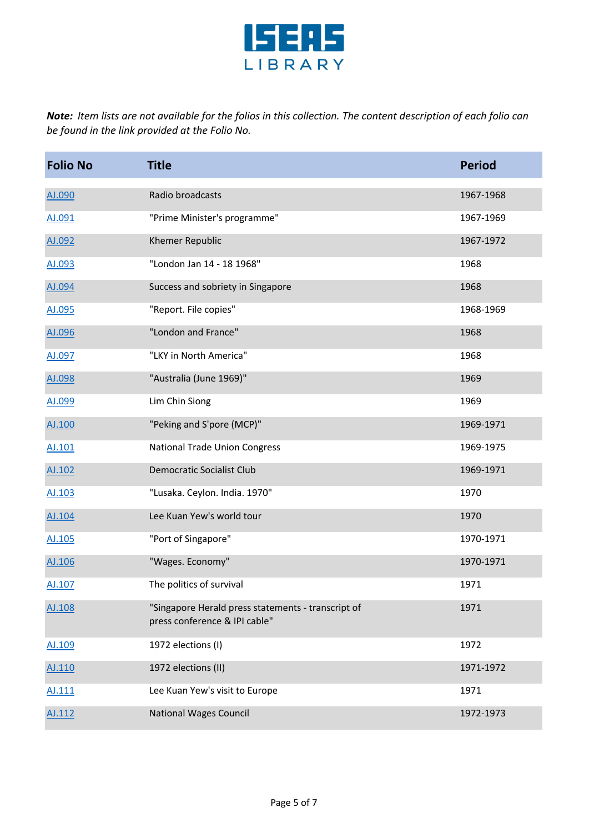

| <b>Folio No</b> | <b>Title</b>                                                                        | <b>Period</b> |
|-----------------|-------------------------------------------------------------------------------------|---------------|
| AJ.090          | Radio broadcasts                                                                    | 1967-1968     |
| AJ.091          | "Prime Minister's programme"                                                        | 1967-1969     |
| AJ.092          | Khemer Republic                                                                     | 1967-1972     |
| AJ.093          | "London Jan 14 - 18 1968"                                                           | 1968          |
| AJ.094          | Success and sobriety in Singapore                                                   | 1968          |
| AJ.095          | "Report. File copies"                                                               | 1968-1969     |
| AJ.096          | "London and France"                                                                 | 1968          |
| AJ.097          | "LKY in North America"                                                              | 1968          |
| AJ.098          | "Australia (June 1969)"                                                             | 1969          |
| AJ.099          | Lim Chin Siong                                                                      | 1969          |
| AJ.100          | "Peking and S'pore (MCP)"                                                           | 1969-1971     |
| AJ.101          | <b>National Trade Union Congress</b>                                                | 1969-1975     |
| AJ.102          | <b>Democratic Socialist Club</b>                                                    | 1969-1971     |
| AJ.103          | "Lusaka. Ceylon. India. 1970"                                                       | 1970          |
| AJ.104          | Lee Kuan Yew's world tour                                                           | 1970          |
| AJ.105          | "Port of Singapore"                                                                 | 1970-1971     |
| AJ.106          | "Wages. Economy"                                                                    | 1970-1971     |
| AJ.107          | The politics of survival                                                            | 1971          |
| AJ.108          | "Singapore Herald press statements - transcript of<br>press conference & IPI cable" | 1971          |
| AJ.109          | 1972 elections (I)                                                                  | 1972          |
| AJ.110          | 1972 elections (II)                                                                 | 1971-1972     |
| AJ.111          | Lee Kuan Yew's visit to Europe                                                      | 1971          |
| AJ.112          | <b>National Wages Council</b>                                                       | 1972-1973     |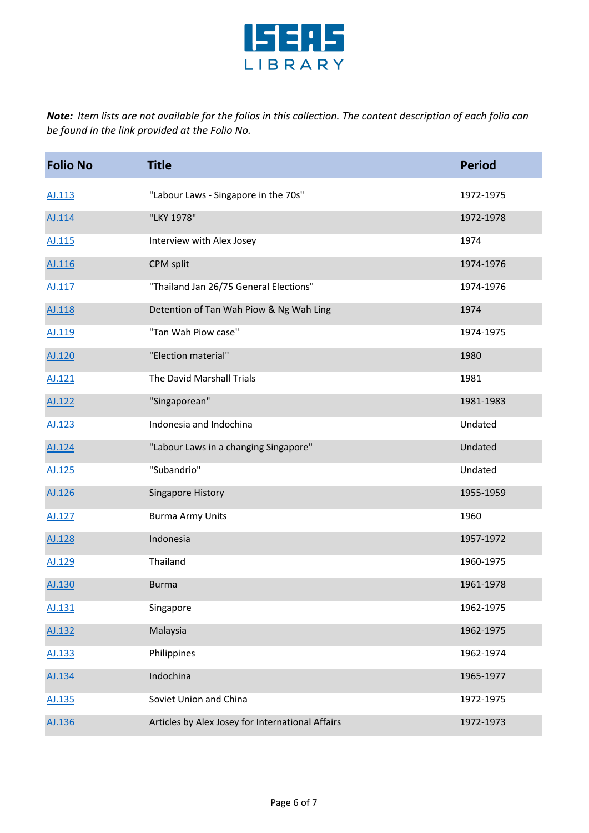

| <b>Folio No</b> | <b>Title</b>                                     | <b>Period</b> |
|-----------------|--------------------------------------------------|---------------|
| AJ.113          | "Labour Laws - Singapore in the 70s"             | 1972-1975     |
| AJ.114          | "LKY 1978"                                       | 1972-1978     |
| AJ.115          | Interview with Alex Josey                        | 1974          |
| AJ.116          | CPM split                                        | 1974-1976     |
| AJ.117          | "Thailand Jan 26/75 General Elections"           | 1974-1976     |
| AJ.118          | Detention of Tan Wah Piow & Ng Wah Ling          | 1974          |
| AJ.119          | "Tan Wah Piow case"                              | 1974-1975     |
| AJ.120          | "Election material"                              | 1980          |
| AJ.121          | The David Marshall Trials                        | 1981          |
| AJ.122          | "Singaporean"                                    | 1981-1983     |
| AJ.123          | Indonesia and Indochina                          | Undated       |
| AJ.124          | "Labour Laws in a changing Singapore"            | Undated       |
| AJ.125          | "Subandrio"                                      | Undated       |
| AJ.126          | Singapore History                                | 1955-1959     |
| AJ.127          | <b>Burma Army Units</b>                          | 1960          |
| AJ.128          | Indonesia                                        | 1957-1972     |
| AJ.129          | Thailand                                         | 1960-1975     |
| AJ.130          | <b>Burma</b>                                     | 1961-1978     |
| AJ.131          | Singapore                                        | 1962-1975     |
| AJ.132          | Malaysia                                         | 1962-1975     |
| AJ.133          | Philippines                                      | 1962-1974     |
| AJ.134          | Indochina                                        | 1965-1977     |
| AJ.135          | Soviet Union and China                           | 1972-1975     |
| AJ.136          | Articles by Alex Josey for International Affairs | 1972-1973     |